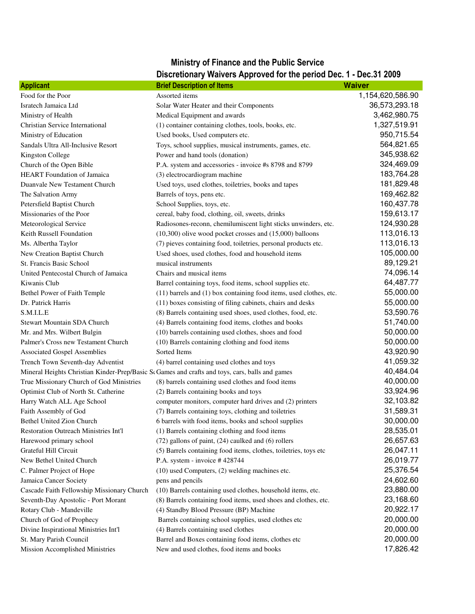## Ministry of Finance and the Public Service

## Discretionary Waivers Approved for the period Dec. 1 - Dec.31 2009

| Food for the Poor<br>Assorted items<br>1,154,620,586.90<br>36,573,293.18<br>Isratech Jamaica Ltd<br>Solar Water Heater and their Components<br>3,462,980.75<br>Medical Equipment and awards<br>Ministry of Health<br>1,327,519.91<br>Christian Service International<br>(1) container containing clothes, tools, books, etc.<br>950,715.54<br>Ministry of Education<br>Used books, Used computers etc.<br>564,821.65<br>Sandals Ultra All-Inclusive Resort<br>Toys, school supplies, musical instruments, games, etc.<br>345,938.62<br>Kingston College<br>Power and hand tools (donation)<br>324,469.09<br>Church of the Open Bible<br>P.A. system and accessories - invoice #s 8798 and 8799<br>183,764.28<br>HEART Foundation of Jamaica<br>(3) electrocardiogram machine<br>181,829.48<br>Duanvale New Testament Church<br>Used toys, used clothes, toiletries, books and tapes<br>169,462.82<br>Barrels of toys, pens etc.<br>The Salvation Army<br>160,437.78<br>School Supplies, toys, etc.<br>Petersfield Baptist Church<br>159,613.17<br>Missionaries of the Poor<br>cereal, baby food, clothing, oil, sweets, drinks<br>124,930.28<br>Radiosones-reconn, chemilumiscent light sticks unwinders, etc.<br>Meteorological Service<br>113,016.13<br>Keith Russell Foundation<br>(10,300) olive wood pocket crosses and (15,000) balloons<br>113,016.13<br>Ms. Albertha Taylor<br>(7) pieves containing food, toiletries, personal products etc.<br>105,000.00<br>New Creation Baptist Church<br>Used shoes, used clothes, food and household items<br>89,129.21<br>St. Francis Basic School<br>musical instruments<br>74,096.14<br>United Pentecostal Church of Jamaica<br>Chairs and musical items<br>64,487.77<br>Kiwanis Club<br>Barrel containing toys, food items, school supplies etc.<br>55,000.00<br>Bethel Power of Faith Temple<br>(11) barrels and (1) box containing food items, used clothes, etc.<br>55,000.00<br>Dr. Patrick Harris<br>(11) boxes consisting of filing cabinets, chairs and desks<br>53,590.76<br>S.M.I.L.E<br>(8) Barrels containing used shoes, used clothes, food, etc.<br>51,740.00<br>Stewart Mountain SDA Church<br>(4) Barrels containing food items, clothes and books<br>50,000.00<br>(10) barrels containing used clothes, shoes and food<br>Mr. and Mrs. Wilbert Bulgin<br>50,000.00<br>Palmer's Cross new Testament Church<br>(10) Barrels containing clothing and food items<br>43,920.90<br>Sorted Items<br><b>Associated Gospel Assemblies</b><br>41,059.32<br>Trench Town Seventh-day Adventist<br>(4) barrel containing used clothes and toys<br>40,484.04<br>Mineral Heights Christian Kinder-Prep/Basic So Games and crafts and toys, cars, balls and games<br>40,000.00<br>True Missionary Church of God Ministries<br>(8) barrels containing used clothes and food items<br>33,924.96<br>(2) Barrels containing books and toys<br>Optimist Club of North St. Catherine<br>32,103.82<br>computer monitors, computer hard drives and (2) printers<br>Harry Watch ALL Age School<br>31,589.31<br>Faith Assembly of God<br>(7) Barrels containing toys, clothing and toiletries<br>30,000.00<br><b>Bethel United Zion Church</b><br>6 barrels with food items, books and school supplies<br>(1) Barrels containing clothing and food items<br>28,535.01<br><b>Restoration Outreach Ministries Int'l</b><br>26,657.63<br>(72) gallons of paint, (24) caulked and (6) rollers<br>Harewood primary school<br>26,047.11<br>Grateful Hill Circuit<br>(5) Barrels containing food items, clothes, toiletries, toys etc<br>26,019.77<br>P.A. system - invoice #428744<br>New Bethel United Church | <b>Applicant</b>          | <b>Brief Description of Items</b>              | <b>Waiver</b> |
|--------------------------------------------------------------------------------------------------------------------------------------------------------------------------------------------------------------------------------------------------------------------------------------------------------------------------------------------------------------------------------------------------------------------------------------------------------------------------------------------------------------------------------------------------------------------------------------------------------------------------------------------------------------------------------------------------------------------------------------------------------------------------------------------------------------------------------------------------------------------------------------------------------------------------------------------------------------------------------------------------------------------------------------------------------------------------------------------------------------------------------------------------------------------------------------------------------------------------------------------------------------------------------------------------------------------------------------------------------------------------------------------------------------------------------------------------------------------------------------------------------------------------------------------------------------------------------------------------------------------------------------------------------------------------------------------------------------------------------------------------------------------------------------------------------------------------------------------------------------------------------------------------------------------------------------------------------------------------------------------------------------------------------------------------------------------------------------------------------------------------------------------------------------------------------------------------------------------------------------------------------------------------------------------------------------------------------------------------------------------------------------------------------------------------------------------------------------------------------------------------------------------------------------------------------------------------------------------------------------------------------------------------------------------------------------------------------------------------------------------------------------------------------------------------------------------------------------------------------------------------------------------------------------------------------------------------------------------------------------------------------------------------------------------------------------------------------------------------------------------------------------------------------------------------------------------------------------------------------------------------------------------------------------------------------------------------------------------------------------------------------------------------------------------------------------------------------------------------------------------------------------------------------------------------------------------------------------------------------------------------------------------------|---------------------------|------------------------------------------------|---------------|
|                                                                                                                                                                                                                                                                                                                                                                                                                                                                                                                                                                                                                                                                                                                                                                                                                                                                                                                                                                                                                                                                                                                                                                                                                                                                                                                                                                                                                                                                                                                                                                                                                                                                                                                                                                                                                                                                                                                                                                                                                                                                                                                                                                                                                                                                                                                                                                                                                                                                                                                                                                                                                                                                                                                                                                                                                                                                                                                                                                                                                                                                                                                                                                                                                                                                                                                                                                                                                                                                                                                                                                                                                                                  |                           |                                                |               |
|                                                                                                                                                                                                                                                                                                                                                                                                                                                                                                                                                                                                                                                                                                                                                                                                                                                                                                                                                                                                                                                                                                                                                                                                                                                                                                                                                                                                                                                                                                                                                                                                                                                                                                                                                                                                                                                                                                                                                                                                                                                                                                                                                                                                                                                                                                                                                                                                                                                                                                                                                                                                                                                                                                                                                                                                                                                                                                                                                                                                                                                                                                                                                                                                                                                                                                                                                                                                                                                                                                                                                                                                                                                  |                           |                                                |               |
|                                                                                                                                                                                                                                                                                                                                                                                                                                                                                                                                                                                                                                                                                                                                                                                                                                                                                                                                                                                                                                                                                                                                                                                                                                                                                                                                                                                                                                                                                                                                                                                                                                                                                                                                                                                                                                                                                                                                                                                                                                                                                                                                                                                                                                                                                                                                                                                                                                                                                                                                                                                                                                                                                                                                                                                                                                                                                                                                                                                                                                                                                                                                                                                                                                                                                                                                                                                                                                                                                                                                                                                                                                                  |                           |                                                |               |
|                                                                                                                                                                                                                                                                                                                                                                                                                                                                                                                                                                                                                                                                                                                                                                                                                                                                                                                                                                                                                                                                                                                                                                                                                                                                                                                                                                                                                                                                                                                                                                                                                                                                                                                                                                                                                                                                                                                                                                                                                                                                                                                                                                                                                                                                                                                                                                                                                                                                                                                                                                                                                                                                                                                                                                                                                                                                                                                                                                                                                                                                                                                                                                                                                                                                                                                                                                                                                                                                                                                                                                                                                                                  |                           |                                                |               |
|                                                                                                                                                                                                                                                                                                                                                                                                                                                                                                                                                                                                                                                                                                                                                                                                                                                                                                                                                                                                                                                                                                                                                                                                                                                                                                                                                                                                                                                                                                                                                                                                                                                                                                                                                                                                                                                                                                                                                                                                                                                                                                                                                                                                                                                                                                                                                                                                                                                                                                                                                                                                                                                                                                                                                                                                                                                                                                                                                                                                                                                                                                                                                                                                                                                                                                                                                                                                                                                                                                                                                                                                                                                  |                           |                                                |               |
|                                                                                                                                                                                                                                                                                                                                                                                                                                                                                                                                                                                                                                                                                                                                                                                                                                                                                                                                                                                                                                                                                                                                                                                                                                                                                                                                                                                                                                                                                                                                                                                                                                                                                                                                                                                                                                                                                                                                                                                                                                                                                                                                                                                                                                                                                                                                                                                                                                                                                                                                                                                                                                                                                                                                                                                                                                                                                                                                                                                                                                                                                                                                                                                                                                                                                                                                                                                                                                                                                                                                                                                                                                                  |                           |                                                |               |
|                                                                                                                                                                                                                                                                                                                                                                                                                                                                                                                                                                                                                                                                                                                                                                                                                                                                                                                                                                                                                                                                                                                                                                                                                                                                                                                                                                                                                                                                                                                                                                                                                                                                                                                                                                                                                                                                                                                                                                                                                                                                                                                                                                                                                                                                                                                                                                                                                                                                                                                                                                                                                                                                                                                                                                                                                                                                                                                                                                                                                                                                                                                                                                                                                                                                                                                                                                                                                                                                                                                                                                                                                                                  |                           |                                                |               |
|                                                                                                                                                                                                                                                                                                                                                                                                                                                                                                                                                                                                                                                                                                                                                                                                                                                                                                                                                                                                                                                                                                                                                                                                                                                                                                                                                                                                                                                                                                                                                                                                                                                                                                                                                                                                                                                                                                                                                                                                                                                                                                                                                                                                                                                                                                                                                                                                                                                                                                                                                                                                                                                                                                                                                                                                                                                                                                                                                                                                                                                                                                                                                                                                                                                                                                                                                                                                                                                                                                                                                                                                                                                  |                           |                                                |               |
|                                                                                                                                                                                                                                                                                                                                                                                                                                                                                                                                                                                                                                                                                                                                                                                                                                                                                                                                                                                                                                                                                                                                                                                                                                                                                                                                                                                                                                                                                                                                                                                                                                                                                                                                                                                                                                                                                                                                                                                                                                                                                                                                                                                                                                                                                                                                                                                                                                                                                                                                                                                                                                                                                                                                                                                                                                                                                                                                                                                                                                                                                                                                                                                                                                                                                                                                                                                                                                                                                                                                                                                                                                                  |                           |                                                |               |
|                                                                                                                                                                                                                                                                                                                                                                                                                                                                                                                                                                                                                                                                                                                                                                                                                                                                                                                                                                                                                                                                                                                                                                                                                                                                                                                                                                                                                                                                                                                                                                                                                                                                                                                                                                                                                                                                                                                                                                                                                                                                                                                                                                                                                                                                                                                                                                                                                                                                                                                                                                                                                                                                                                                                                                                                                                                                                                                                                                                                                                                                                                                                                                                                                                                                                                                                                                                                                                                                                                                                                                                                                                                  |                           |                                                |               |
|                                                                                                                                                                                                                                                                                                                                                                                                                                                                                                                                                                                                                                                                                                                                                                                                                                                                                                                                                                                                                                                                                                                                                                                                                                                                                                                                                                                                                                                                                                                                                                                                                                                                                                                                                                                                                                                                                                                                                                                                                                                                                                                                                                                                                                                                                                                                                                                                                                                                                                                                                                                                                                                                                                                                                                                                                                                                                                                                                                                                                                                                                                                                                                                                                                                                                                                                                                                                                                                                                                                                                                                                                                                  |                           |                                                |               |
|                                                                                                                                                                                                                                                                                                                                                                                                                                                                                                                                                                                                                                                                                                                                                                                                                                                                                                                                                                                                                                                                                                                                                                                                                                                                                                                                                                                                                                                                                                                                                                                                                                                                                                                                                                                                                                                                                                                                                                                                                                                                                                                                                                                                                                                                                                                                                                                                                                                                                                                                                                                                                                                                                                                                                                                                                                                                                                                                                                                                                                                                                                                                                                                                                                                                                                                                                                                                                                                                                                                                                                                                                                                  |                           |                                                |               |
|                                                                                                                                                                                                                                                                                                                                                                                                                                                                                                                                                                                                                                                                                                                                                                                                                                                                                                                                                                                                                                                                                                                                                                                                                                                                                                                                                                                                                                                                                                                                                                                                                                                                                                                                                                                                                                                                                                                                                                                                                                                                                                                                                                                                                                                                                                                                                                                                                                                                                                                                                                                                                                                                                                                                                                                                                                                                                                                                                                                                                                                                                                                                                                                                                                                                                                                                                                                                                                                                                                                                                                                                                                                  |                           |                                                |               |
|                                                                                                                                                                                                                                                                                                                                                                                                                                                                                                                                                                                                                                                                                                                                                                                                                                                                                                                                                                                                                                                                                                                                                                                                                                                                                                                                                                                                                                                                                                                                                                                                                                                                                                                                                                                                                                                                                                                                                                                                                                                                                                                                                                                                                                                                                                                                                                                                                                                                                                                                                                                                                                                                                                                                                                                                                                                                                                                                                                                                                                                                                                                                                                                                                                                                                                                                                                                                                                                                                                                                                                                                                                                  |                           |                                                |               |
|                                                                                                                                                                                                                                                                                                                                                                                                                                                                                                                                                                                                                                                                                                                                                                                                                                                                                                                                                                                                                                                                                                                                                                                                                                                                                                                                                                                                                                                                                                                                                                                                                                                                                                                                                                                                                                                                                                                                                                                                                                                                                                                                                                                                                                                                                                                                                                                                                                                                                                                                                                                                                                                                                                                                                                                                                                                                                                                                                                                                                                                                                                                                                                                                                                                                                                                                                                                                                                                                                                                                                                                                                                                  |                           |                                                |               |
|                                                                                                                                                                                                                                                                                                                                                                                                                                                                                                                                                                                                                                                                                                                                                                                                                                                                                                                                                                                                                                                                                                                                                                                                                                                                                                                                                                                                                                                                                                                                                                                                                                                                                                                                                                                                                                                                                                                                                                                                                                                                                                                                                                                                                                                                                                                                                                                                                                                                                                                                                                                                                                                                                                                                                                                                                                                                                                                                                                                                                                                                                                                                                                                                                                                                                                                                                                                                                                                                                                                                                                                                                                                  |                           |                                                |               |
|                                                                                                                                                                                                                                                                                                                                                                                                                                                                                                                                                                                                                                                                                                                                                                                                                                                                                                                                                                                                                                                                                                                                                                                                                                                                                                                                                                                                                                                                                                                                                                                                                                                                                                                                                                                                                                                                                                                                                                                                                                                                                                                                                                                                                                                                                                                                                                                                                                                                                                                                                                                                                                                                                                                                                                                                                                                                                                                                                                                                                                                                                                                                                                                                                                                                                                                                                                                                                                                                                                                                                                                                                                                  |                           |                                                |               |
|                                                                                                                                                                                                                                                                                                                                                                                                                                                                                                                                                                                                                                                                                                                                                                                                                                                                                                                                                                                                                                                                                                                                                                                                                                                                                                                                                                                                                                                                                                                                                                                                                                                                                                                                                                                                                                                                                                                                                                                                                                                                                                                                                                                                                                                                                                                                                                                                                                                                                                                                                                                                                                                                                                                                                                                                                                                                                                                                                                                                                                                                                                                                                                                                                                                                                                                                                                                                                                                                                                                                                                                                                                                  |                           |                                                |               |
|                                                                                                                                                                                                                                                                                                                                                                                                                                                                                                                                                                                                                                                                                                                                                                                                                                                                                                                                                                                                                                                                                                                                                                                                                                                                                                                                                                                                                                                                                                                                                                                                                                                                                                                                                                                                                                                                                                                                                                                                                                                                                                                                                                                                                                                                                                                                                                                                                                                                                                                                                                                                                                                                                                                                                                                                                                                                                                                                                                                                                                                                                                                                                                                                                                                                                                                                                                                                                                                                                                                                                                                                                                                  |                           |                                                |               |
|                                                                                                                                                                                                                                                                                                                                                                                                                                                                                                                                                                                                                                                                                                                                                                                                                                                                                                                                                                                                                                                                                                                                                                                                                                                                                                                                                                                                                                                                                                                                                                                                                                                                                                                                                                                                                                                                                                                                                                                                                                                                                                                                                                                                                                                                                                                                                                                                                                                                                                                                                                                                                                                                                                                                                                                                                                                                                                                                                                                                                                                                                                                                                                                                                                                                                                                                                                                                                                                                                                                                                                                                                                                  |                           |                                                |               |
|                                                                                                                                                                                                                                                                                                                                                                                                                                                                                                                                                                                                                                                                                                                                                                                                                                                                                                                                                                                                                                                                                                                                                                                                                                                                                                                                                                                                                                                                                                                                                                                                                                                                                                                                                                                                                                                                                                                                                                                                                                                                                                                                                                                                                                                                                                                                                                                                                                                                                                                                                                                                                                                                                                                                                                                                                                                                                                                                                                                                                                                                                                                                                                                                                                                                                                                                                                                                                                                                                                                                                                                                                                                  |                           |                                                |               |
|                                                                                                                                                                                                                                                                                                                                                                                                                                                                                                                                                                                                                                                                                                                                                                                                                                                                                                                                                                                                                                                                                                                                                                                                                                                                                                                                                                                                                                                                                                                                                                                                                                                                                                                                                                                                                                                                                                                                                                                                                                                                                                                                                                                                                                                                                                                                                                                                                                                                                                                                                                                                                                                                                                                                                                                                                                                                                                                                                                                                                                                                                                                                                                                                                                                                                                                                                                                                                                                                                                                                                                                                                                                  |                           |                                                |               |
|                                                                                                                                                                                                                                                                                                                                                                                                                                                                                                                                                                                                                                                                                                                                                                                                                                                                                                                                                                                                                                                                                                                                                                                                                                                                                                                                                                                                                                                                                                                                                                                                                                                                                                                                                                                                                                                                                                                                                                                                                                                                                                                                                                                                                                                                                                                                                                                                                                                                                                                                                                                                                                                                                                                                                                                                                                                                                                                                                                                                                                                                                                                                                                                                                                                                                                                                                                                                                                                                                                                                                                                                                                                  |                           |                                                |               |
|                                                                                                                                                                                                                                                                                                                                                                                                                                                                                                                                                                                                                                                                                                                                                                                                                                                                                                                                                                                                                                                                                                                                                                                                                                                                                                                                                                                                                                                                                                                                                                                                                                                                                                                                                                                                                                                                                                                                                                                                                                                                                                                                                                                                                                                                                                                                                                                                                                                                                                                                                                                                                                                                                                                                                                                                                                                                                                                                                                                                                                                                                                                                                                                                                                                                                                                                                                                                                                                                                                                                                                                                                                                  |                           |                                                |               |
|                                                                                                                                                                                                                                                                                                                                                                                                                                                                                                                                                                                                                                                                                                                                                                                                                                                                                                                                                                                                                                                                                                                                                                                                                                                                                                                                                                                                                                                                                                                                                                                                                                                                                                                                                                                                                                                                                                                                                                                                                                                                                                                                                                                                                                                                                                                                                                                                                                                                                                                                                                                                                                                                                                                                                                                                                                                                                                                                                                                                                                                                                                                                                                                                                                                                                                                                                                                                                                                                                                                                                                                                                                                  |                           |                                                |               |
|                                                                                                                                                                                                                                                                                                                                                                                                                                                                                                                                                                                                                                                                                                                                                                                                                                                                                                                                                                                                                                                                                                                                                                                                                                                                                                                                                                                                                                                                                                                                                                                                                                                                                                                                                                                                                                                                                                                                                                                                                                                                                                                                                                                                                                                                                                                                                                                                                                                                                                                                                                                                                                                                                                                                                                                                                                                                                                                                                                                                                                                                                                                                                                                                                                                                                                                                                                                                                                                                                                                                                                                                                                                  |                           |                                                |               |
|                                                                                                                                                                                                                                                                                                                                                                                                                                                                                                                                                                                                                                                                                                                                                                                                                                                                                                                                                                                                                                                                                                                                                                                                                                                                                                                                                                                                                                                                                                                                                                                                                                                                                                                                                                                                                                                                                                                                                                                                                                                                                                                                                                                                                                                                                                                                                                                                                                                                                                                                                                                                                                                                                                                                                                                                                                                                                                                                                                                                                                                                                                                                                                                                                                                                                                                                                                                                                                                                                                                                                                                                                                                  |                           |                                                |               |
|                                                                                                                                                                                                                                                                                                                                                                                                                                                                                                                                                                                                                                                                                                                                                                                                                                                                                                                                                                                                                                                                                                                                                                                                                                                                                                                                                                                                                                                                                                                                                                                                                                                                                                                                                                                                                                                                                                                                                                                                                                                                                                                                                                                                                                                                                                                                                                                                                                                                                                                                                                                                                                                                                                                                                                                                                                                                                                                                                                                                                                                                                                                                                                                                                                                                                                                                                                                                                                                                                                                                                                                                                                                  |                           |                                                |               |
|                                                                                                                                                                                                                                                                                                                                                                                                                                                                                                                                                                                                                                                                                                                                                                                                                                                                                                                                                                                                                                                                                                                                                                                                                                                                                                                                                                                                                                                                                                                                                                                                                                                                                                                                                                                                                                                                                                                                                                                                                                                                                                                                                                                                                                                                                                                                                                                                                                                                                                                                                                                                                                                                                                                                                                                                                                                                                                                                                                                                                                                                                                                                                                                                                                                                                                                                                                                                                                                                                                                                                                                                                                                  |                           |                                                |               |
|                                                                                                                                                                                                                                                                                                                                                                                                                                                                                                                                                                                                                                                                                                                                                                                                                                                                                                                                                                                                                                                                                                                                                                                                                                                                                                                                                                                                                                                                                                                                                                                                                                                                                                                                                                                                                                                                                                                                                                                                                                                                                                                                                                                                                                                                                                                                                                                                                                                                                                                                                                                                                                                                                                                                                                                                                                                                                                                                                                                                                                                                                                                                                                                                                                                                                                                                                                                                                                                                                                                                                                                                                                                  |                           |                                                |               |
|                                                                                                                                                                                                                                                                                                                                                                                                                                                                                                                                                                                                                                                                                                                                                                                                                                                                                                                                                                                                                                                                                                                                                                                                                                                                                                                                                                                                                                                                                                                                                                                                                                                                                                                                                                                                                                                                                                                                                                                                                                                                                                                                                                                                                                                                                                                                                                                                                                                                                                                                                                                                                                                                                                                                                                                                                                                                                                                                                                                                                                                                                                                                                                                                                                                                                                                                                                                                                                                                                                                                                                                                                                                  |                           |                                                |               |
|                                                                                                                                                                                                                                                                                                                                                                                                                                                                                                                                                                                                                                                                                                                                                                                                                                                                                                                                                                                                                                                                                                                                                                                                                                                                                                                                                                                                                                                                                                                                                                                                                                                                                                                                                                                                                                                                                                                                                                                                                                                                                                                                                                                                                                                                                                                                                                                                                                                                                                                                                                                                                                                                                                                                                                                                                                                                                                                                                                                                                                                                                                                                                                                                                                                                                                                                                                                                                                                                                                                                                                                                                                                  |                           |                                                |               |
|                                                                                                                                                                                                                                                                                                                                                                                                                                                                                                                                                                                                                                                                                                                                                                                                                                                                                                                                                                                                                                                                                                                                                                                                                                                                                                                                                                                                                                                                                                                                                                                                                                                                                                                                                                                                                                                                                                                                                                                                                                                                                                                                                                                                                                                                                                                                                                                                                                                                                                                                                                                                                                                                                                                                                                                                                                                                                                                                                                                                                                                                                                                                                                                                                                                                                                                                                                                                                                                                                                                                                                                                                                                  |                           |                                                |               |
|                                                                                                                                                                                                                                                                                                                                                                                                                                                                                                                                                                                                                                                                                                                                                                                                                                                                                                                                                                                                                                                                                                                                                                                                                                                                                                                                                                                                                                                                                                                                                                                                                                                                                                                                                                                                                                                                                                                                                                                                                                                                                                                                                                                                                                                                                                                                                                                                                                                                                                                                                                                                                                                                                                                                                                                                                                                                                                                                                                                                                                                                                                                                                                                                                                                                                                                                                                                                                                                                                                                                                                                                                                                  |                           |                                                |               |
|                                                                                                                                                                                                                                                                                                                                                                                                                                                                                                                                                                                                                                                                                                                                                                                                                                                                                                                                                                                                                                                                                                                                                                                                                                                                                                                                                                                                                                                                                                                                                                                                                                                                                                                                                                                                                                                                                                                                                                                                                                                                                                                                                                                                                                                                                                                                                                                                                                                                                                                                                                                                                                                                                                                                                                                                                                                                                                                                                                                                                                                                                                                                                                                                                                                                                                                                                                                                                                                                                                                                                                                                                                                  |                           |                                                |               |
|                                                                                                                                                                                                                                                                                                                                                                                                                                                                                                                                                                                                                                                                                                                                                                                                                                                                                                                                                                                                                                                                                                                                                                                                                                                                                                                                                                                                                                                                                                                                                                                                                                                                                                                                                                                                                                                                                                                                                                                                                                                                                                                                                                                                                                                                                                                                                                                                                                                                                                                                                                                                                                                                                                                                                                                                                                                                                                                                                                                                                                                                                                                                                                                                                                                                                                                                                                                                                                                                                                                                                                                                                                                  |                           |                                                |               |
|                                                                                                                                                                                                                                                                                                                                                                                                                                                                                                                                                                                                                                                                                                                                                                                                                                                                                                                                                                                                                                                                                                                                                                                                                                                                                                                                                                                                                                                                                                                                                                                                                                                                                                                                                                                                                                                                                                                                                                                                                                                                                                                                                                                                                                                                                                                                                                                                                                                                                                                                                                                                                                                                                                                                                                                                                                                                                                                                                                                                                                                                                                                                                                                                                                                                                                                                                                                                                                                                                                                                                                                                                                                  |                           |                                                |               |
|                                                                                                                                                                                                                                                                                                                                                                                                                                                                                                                                                                                                                                                                                                                                                                                                                                                                                                                                                                                                                                                                                                                                                                                                                                                                                                                                                                                                                                                                                                                                                                                                                                                                                                                                                                                                                                                                                                                                                                                                                                                                                                                                                                                                                                                                                                                                                                                                                                                                                                                                                                                                                                                                                                                                                                                                                                                                                                                                                                                                                                                                                                                                                                                                                                                                                                                                                                                                                                                                                                                                                                                                                                                  |                           |                                                |               |
|                                                                                                                                                                                                                                                                                                                                                                                                                                                                                                                                                                                                                                                                                                                                                                                                                                                                                                                                                                                                                                                                                                                                                                                                                                                                                                                                                                                                                                                                                                                                                                                                                                                                                                                                                                                                                                                                                                                                                                                                                                                                                                                                                                                                                                                                                                                                                                                                                                                                                                                                                                                                                                                                                                                                                                                                                                                                                                                                                                                                                                                                                                                                                                                                                                                                                                                                                                                                                                                                                                                                                                                                                                                  | C. Palmer Project of Hope | (10) used Computers, (2) welding machines etc. | 25,376.54     |
| 24,602.60<br>Jamaica Cancer Society<br>pens and pencils                                                                                                                                                                                                                                                                                                                                                                                                                                                                                                                                                                                                                                                                                                                                                                                                                                                                                                                                                                                                                                                                                                                                                                                                                                                                                                                                                                                                                                                                                                                                                                                                                                                                                                                                                                                                                                                                                                                                                                                                                                                                                                                                                                                                                                                                                                                                                                                                                                                                                                                                                                                                                                                                                                                                                                                                                                                                                                                                                                                                                                                                                                                                                                                                                                                                                                                                                                                                                                                                                                                                                                                          |                           |                                                |               |
| 23,880.00<br>Cascade Faith Fellowship Missionary Church<br>(10) Barrels containing used clothes, household items, etc.                                                                                                                                                                                                                                                                                                                                                                                                                                                                                                                                                                                                                                                                                                                                                                                                                                                                                                                                                                                                                                                                                                                                                                                                                                                                                                                                                                                                                                                                                                                                                                                                                                                                                                                                                                                                                                                                                                                                                                                                                                                                                                                                                                                                                                                                                                                                                                                                                                                                                                                                                                                                                                                                                                                                                                                                                                                                                                                                                                                                                                                                                                                                                                                                                                                                                                                                                                                                                                                                                                                           |                           |                                                |               |
| 23,168.60<br>(8) Barrels containing food items, used shoes and clothes, etc.<br>Seventh-Day Apostolic - Port Morant                                                                                                                                                                                                                                                                                                                                                                                                                                                                                                                                                                                                                                                                                                                                                                                                                                                                                                                                                                                                                                                                                                                                                                                                                                                                                                                                                                                                                                                                                                                                                                                                                                                                                                                                                                                                                                                                                                                                                                                                                                                                                                                                                                                                                                                                                                                                                                                                                                                                                                                                                                                                                                                                                                                                                                                                                                                                                                                                                                                                                                                                                                                                                                                                                                                                                                                                                                                                                                                                                                                              |                           |                                                |               |
| 20,922.17<br>Rotary Club - Mandeville<br>(4) Standby Blood Pressure (BP) Machine                                                                                                                                                                                                                                                                                                                                                                                                                                                                                                                                                                                                                                                                                                                                                                                                                                                                                                                                                                                                                                                                                                                                                                                                                                                                                                                                                                                                                                                                                                                                                                                                                                                                                                                                                                                                                                                                                                                                                                                                                                                                                                                                                                                                                                                                                                                                                                                                                                                                                                                                                                                                                                                                                                                                                                                                                                                                                                                                                                                                                                                                                                                                                                                                                                                                                                                                                                                                                                                                                                                                                                 |                           |                                                |               |
| 20,000.00<br>Barrels containing school supplies, used clothes etc<br>Church of God of Prophecy                                                                                                                                                                                                                                                                                                                                                                                                                                                                                                                                                                                                                                                                                                                                                                                                                                                                                                                                                                                                                                                                                                                                                                                                                                                                                                                                                                                                                                                                                                                                                                                                                                                                                                                                                                                                                                                                                                                                                                                                                                                                                                                                                                                                                                                                                                                                                                                                                                                                                                                                                                                                                                                                                                                                                                                                                                                                                                                                                                                                                                                                                                                                                                                                                                                                                                                                                                                                                                                                                                                                                   |                           |                                                |               |
| 20,000.00<br>(4) Barrels containing used clothes<br>Divine Inspirational Ministries Int'l                                                                                                                                                                                                                                                                                                                                                                                                                                                                                                                                                                                                                                                                                                                                                                                                                                                                                                                                                                                                                                                                                                                                                                                                                                                                                                                                                                                                                                                                                                                                                                                                                                                                                                                                                                                                                                                                                                                                                                                                                                                                                                                                                                                                                                                                                                                                                                                                                                                                                                                                                                                                                                                                                                                                                                                                                                                                                                                                                                                                                                                                                                                                                                                                                                                                                                                                                                                                                                                                                                                                                        |                           |                                                |               |
| 20,000.00<br>St. Mary Parish Council<br>Barrel and Boxes containing food items, clothes etc                                                                                                                                                                                                                                                                                                                                                                                                                                                                                                                                                                                                                                                                                                                                                                                                                                                                                                                                                                                                                                                                                                                                                                                                                                                                                                                                                                                                                                                                                                                                                                                                                                                                                                                                                                                                                                                                                                                                                                                                                                                                                                                                                                                                                                                                                                                                                                                                                                                                                                                                                                                                                                                                                                                                                                                                                                                                                                                                                                                                                                                                                                                                                                                                                                                                                                                                                                                                                                                                                                                                                      |                           |                                                |               |
| 17,826.42<br>Mission Accomplished Ministries<br>New and used clothes, food items and books                                                                                                                                                                                                                                                                                                                                                                                                                                                                                                                                                                                                                                                                                                                                                                                                                                                                                                                                                                                                                                                                                                                                                                                                                                                                                                                                                                                                                                                                                                                                                                                                                                                                                                                                                                                                                                                                                                                                                                                                                                                                                                                                                                                                                                                                                                                                                                                                                                                                                                                                                                                                                                                                                                                                                                                                                                                                                                                                                                                                                                                                                                                                                                                                                                                                                                                                                                                                                                                                                                                                                       |                           |                                                |               |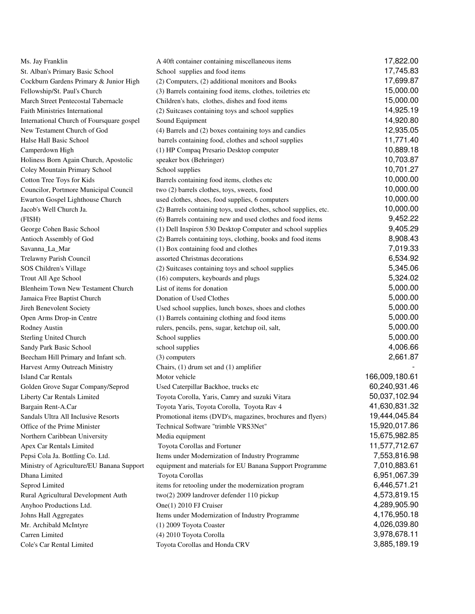| Ms. Jay Franklin                          | A 40ft container containing miscellaneous items                  | 17,822.00      |
|-------------------------------------------|------------------------------------------------------------------|----------------|
| St. Alban's Primary Basic School          | School supplies and food items                                   | 17,745.83      |
| Cockburn Gardens Primary & Junior High    | (2) Computers, (2) additional monitors and Books                 | 17,699.87      |
| Fellowship/St. Paul's Church              | (3) Barrels containing food items, clothes, toiletries etc       | 15,000.00      |
| March Street Pentecostal Tabernacle       | Children's hats, clothes, dishes and food items                  | 15,000.00      |
| <b>Faith Ministries International</b>     | (2) Suitcases containing toys and school supplies                | 14,925.19      |
| International Church of Foursquare gospel | Sound Equipment                                                  | 14,920.80      |
| New Testament Church of God               | (4) Barrels and (2) boxes containing toys and candies            | 12,935.05      |
| Halse Hall Basic School                   | barrels containing food, clothes and school supplies             | 11,771.40      |
| Camperdown High                           | (1) HP Compaq Presario Desktop computer                          | 10,889.18      |
| Holiness Born Again Church, Apostolic     | speaker box (Behringer)                                          | 10,703.87      |
| Coley Mountain Primary School             | School supplies                                                  | 10,701.27      |
| Cotton Tree Toys for Kids                 | Barrels containing food items, clothes etc                       | 10,000.00      |
| Councilor, Portmore Municipal Council     | two (2) barrels clothes, toys, sweets, food                      | 10,000.00      |
| Ewarton Gospel Lighthouse Church          | used clothes, shoes, food supplies, 6 computers                  | 10,000.00      |
| Jacob's Well Church Ja.                   | (2) Barrels containing toys, used clothes, school supplies, etc. | 10,000.00      |
| (FISH)                                    | (6) Barrels containing new and used clothes and food items       | 9,452.22       |
| George Cohen Basic School                 | (1) Dell Inspiron 530 Desktop Computer and school supplies       | 9,405.29       |
| Antioch Assembly of God                   | (2) Barrels containing toys, clothing, books and food items      | 8,908.43       |
| Savanna_La_Mar                            | (1) Box containing food and clothes                              | 7,019.33       |
| Trelawny Parish Council                   | assorted Christmas decorations                                   | 6,534.92       |
| SOS Children's Village                    | (2) Suitcases containing toys and school supplies                | 5,345.06       |
| Trout All Age School                      | (16) computers, keyboards and plugs                              | 5,324.02       |
| Blenheim Town New Testament Church        | List of items for donation                                       | 5,000.00       |
| Jamaica Free Baptist Church               | Donation of Used Clothes                                         | 5,000.00       |
| Jireh Benevolent Society                  | Used school supplies, lunch boxes, shoes and clothes             | 5,000.00       |
| Open Arms Drop-in Centre                  | (1) Barrels containing clothing and food items                   | 5,000.00       |
| Rodney Austin                             | rulers, pencils, pens, sugar, ketchup oil, salt,                 | 5,000.00       |
| Sterling United Church                    | School supplies                                                  | 5,000.00       |
| Sandy Park Basic School                   | school supplies                                                  | 4,006.66       |
| Beecham Hill Primary and Infant sch.      | $(3)$ computers                                                  | 2,661.87       |
| Harvest Army Outreach Ministry            | Chairs, $(1)$ drum set and $(1)$ amplifier                       |                |
| <b>Island Car Rentals</b>                 | Motor vehicle                                                    | 166,009,180.61 |
| Golden Grove Sugar Company/Seprod         | Used Caterpillar Backhoe, trucks etc                             | 60,240,931.46  |
| Liberty Car Rentals Limited               | Toyota Corolla, Yaris, Camry and suzuki Vitara                   | 50,037,102.94  |
| Bargain Rent-A.Car                        | Toyota Yaris, Toyota Corolla, Toyota Rav 4                       | 41,630,831.32  |
| Sandals Ultra All Inclusive Resorts       | Promotional items (DVD's, magazines, brochures and flyers)       | 19,444,045.84  |
| Office of the Prime Minister              | Technical Software "trimble VRS3Net"                             | 15,920,017.86  |
| Northern Caribbean University             | Media equipment                                                  | 15,675,982.85  |
| Apex Car Rentals Limited                  | Toyota Corollas and Fortuner                                     | 11,577,712.67  |
| Pepsi Cola Ja. Bottling Co. Ltd.          | Items under Modernization of Industry Programme                  | 7,553,816.98   |
| Ministry of Agriculture/EU Banana Support | equipment and materials for EU Banana Support Programme          | 7,010,883.61   |
| Dhana Limited                             | Toyota Corollas                                                  | 6,951,067.39   |
| Seprod Limited                            | items for retooling under the modernization program              | 6,446,571.21   |
| Rural Agricultural Development Auth       | two(2) 2009 landrover defender 110 pickup                        | 4,573,819.15   |
| Anyhoo Productions Ltd.                   | One(1) 2010 FJ Cruiser                                           | 4,289,905.90   |
| Johns Hall Aggregates                     | Items under Modernization of Industry Programme                  | 4,176,950.18   |
| Mr. Archibald McIntyre                    | (1) 2009 Toyota Coaster                                          | 4,026,039.80   |
| Carren Limited                            | (4) 2010 Toyota Corolla                                          | 3,978,678.11   |
| Cole's Car Rental Limited                 | Toyota Corollas and Honda CRV                                    | 3,885,189.19   |
|                                           |                                                                  |                |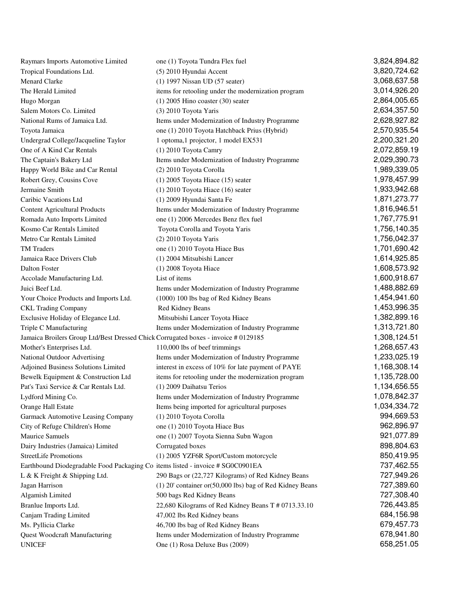| Raymars Imports Automotive Limited                                                 | one (1) Toyota Tundra Flex fuel                           | 3,824,894.82 |
|------------------------------------------------------------------------------------|-----------------------------------------------------------|--------------|
| Tropical Foundations Ltd.                                                          | (5) 2010 Hyundai Accent                                   | 3,820,724.62 |
| Menard Clarke                                                                      | (1) 1997 Nissan UD (57 seater)                            | 3,068,637.58 |
| The Herald Limited                                                                 | items for retooling under the modernization program       | 3,014,926.20 |
| Hugo Morgan                                                                        | $(1)$ 2005 Hino coaster $(30)$ seater                     | 2,864,005.65 |
| Salem Motors Co. Limited                                                           | (3) 2010 Toyota Yaris                                     | 2,634,357.50 |
| National Rums of Jamaica Ltd.                                                      | Items under Modernization of Industry Programme           | 2,628,927.82 |
| Toyota Jamaica                                                                     | one (1) 2010 Toyota Hatchback Prius (Hybrid)              | 2,570,935.54 |
| Undergrad College/Jacqueline Taylor                                                | 1 optoma, 1 projector, 1 model EX531                      | 2,200,321.20 |
| One of A Kind Car Rentals                                                          | (1) 2010 Toyota Camry                                     | 2,072,859.19 |
| The Captain's Bakery Ltd                                                           | Items under Modernization of Industry Programme           | 2,029,390.73 |
| Happy World Bike and Car Rental                                                    | (2) 2010 Toyota Corolla                                   | 1,989,339.05 |
| Robert Grey, Cousins Cove                                                          | $(1)$ 2005 Toyota Hiace $(15)$ seater                     | 1,978,457.99 |
| Jermaine Smith                                                                     | $(1)$ 2010 Toyota Hiace $(16)$ seater                     | 1,933,942.68 |
| Caribic Vacations Ltd                                                              | (1) 2009 Hyundai Santa Fe                                 | 1,871,273.77 |
| <b>Content Agricultural Products</b>                                               | Items under Modernization of Industry Programme           | 1,816,946.51 |
| Romada Auto Imports Limited                                                        | one (1) 2006 Mercedes Benz flex fuel                      | 1,767,775.91 |
| Kosmo Car Rentals Limited                                                          | Toyota Corolla and Toyota Yaris                           | 1,756,140.35 |
| Metro Car Rentals Limited                                                          | (2) 2010 Toyota Yaris                                     | 1,756,042.37 |
| <b>TM</b> Traders                                                                  | one (1) 2010 Toyota Hiace Bus                             | 1,701,690.42 |
| Jamaica Race Drivers Club                                                          | (1) 2004 Mitsubishi Lancer                                | 1,614,925.85 |
| <b>Dalton Foster</b>                                                               | (1) 2008 Toyota Hiace                                     | 1,608,573.92 |
| Accolade Manufacturing Ltd.                                                        | List of items                                             | 1,600,918.67 |
| Juici Beef Ltd.                                                                    | Items under Modernization of Industry Programme           | 1,488,882.69 |
| Your Choice Products and Imports Ltd.                                              | (1000) 100 lbs bag of Red Kidney Beans                    | 1,454,941.60 |
| <b>CKL Trading Company</b>                                                         | Red Kidney Beans                                          | 1,453,996.35 |
| Exclusive Holiday of Elegance Ltd.                                                 | Mitsubishi Lancer Toyota Hiace                            | 1,382,899.16 |
| Triple C Manufacturing                                                             | Items under Modernization of Industry Programme           | 1,313,721.80 |
| Jamaica Broilers Group Ltd/Best Dressed Chick Corrugated boxes - invoice # 0129185 |                                                           | 1,308,124.51 |
| Mother's Enterprises Ltd.                                                          | 110,000 lbs of beef trimmings                             | 1,268,657.43 |
| National Outdoor Advertising                                                       | Items under Modernization of Industry Programme           | 1,233,025.19 |
| Adjoined Business Solutions Limited                                                | interest in excess of 10% for late payment of PAYE        | 1,168,308.14 |
| Bewelk Equipment & Construction Ltd                                                | items for retooling under the modernization program       | 1,135,728.00 |
| Pat's Taxi Service & Car Rentals Ltd.                                              | (1) 2009 Daihatsu Terios                                  | 1,134,656.55 |
| Lydford Mining Co.                                                                 | Items under Modernization of Industry Programme           | 1,078,842.37 |
| Orange Hall Estate                                                                 | Items being imported for agricultural purposes            | 1,034,334.72 |
| Garmack Automotive Leasing Company                                                 | (1) 2010 Toyota Corolla                                   | 994,669.53   |
| City of Refuge Children's Home                                                     | one (1) 2010 Toyota Hiace Bus                             | 962,896.97   |
| Maurice Samuels                                                                    | one (1) 2007 Toyota Sienna Subn Wagon                     | 921,077.89   |
| Dairy Industries (Jamaica) Limited                                                 | Corrugated boxes                                          | 898,804.63   |
| <b>StreetLife Promotions</b>                                                       | (1) 2005 YZF6R Sport/Custom motorcycle                    | 850,419.95   |
| Earthbound Diodegradable Food Packaging Co items listed - invoice # SG0C0901EA     |                                                           | 737,462.55   |
| L & K Freight & Shipping Ltd.                                                      | 290 Bags or (22,727 Kilograms) of Red Kidney Beans        | 727,949.26   |
| Jagan Harrison                                                                     | (1) 20' container or (50,000 lbs) bag of Red Kidney Beans | 727,389.60   |
| Algamish Limited                                                                   | 500 bags Red Kidney Beans                                 | 727,308.40   |
| Branlue Imports Ltd.                                                               | 22,680 Kilograms of Red Kidney Beans T # 0713.33.10       | 726,443.85   |
| Canjam Trading Limited                                                             | 47,002 lbs Red Kidney beans                               | 684,156.98   |
| Ms. Pyllicia Clarke                                                                | 46,700 lbs bag of Red Kidney Beans                        | 679,457.73   |
| Quest Woodcraft Manufacturing                                                      | Items under Modernization of Industry Programme           | 678,941.80   |
| <b>UNICEF</b>                                                                      | One (1) Rosa Deluxe Bus (2009)                            | 658,251.05   |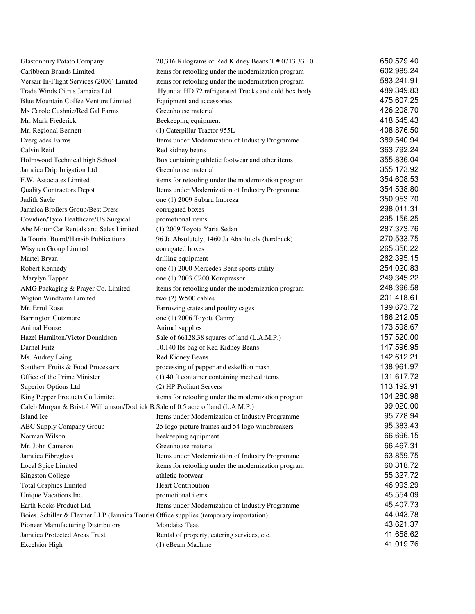| <b>Glastonbury Potato Company</b>                                                      | 20,316 Kilograms of Red Kidney Beans T # 0713.33.10                             | 650,579.40 |
|----------------------------------------------------------------------------------------|---------------------------------------------------------------------------------|------------|
| Caribbean Brands Limited                                                               | items for retooling under the modernization program                             | 602,985.24 |
| Versair In-Flight Services (2006) Limited                                              | items for retooling under the modernization program                             | 583,241.91 |
| Trade Winds Citrus Jamaica Ltd.                                                        | Hyundai HD 72 refrigerated Trucks and cold box body                             | 489,349.83 |
| Blue Mountain Coffee Venture Limited                                                   | Equipment and accessories                                                       | 475,607.25 |
| Ms Carole Cushnie/Red Gal Farms                                                        | Greenhouse material                                                             | 426,208.70 |
| Mr. Mark Frederick                                                                     | Beekeeping equipment                                                            | 418,545.43 |
| Mr. Regional Bennett                                                                   | (1) Caterpillar Tractor 955L                                                    | 408,876.50 |
| <b>Everglades Farms</b>                                                                | Items under Modernization of Industry Programme                                 | 389,540.94 |
| Calvin Reid                                                                            | Red kidney beans                                                                | 363,792.24 |
| Holmwood Technical high School                                                         | Box containing athletic footwear and other items                                | 355,836.04 |
| Jamaica Drip Irrigation Ltd                                                            | Greenhouse material                                                             | 355,173.92 |
| F.W. Associates Limited                                                                | items for retooling under the modernization program                             | 354,608.53 |
| <b>Quality Contractors Depot</b>                                                       | Items under Modernization of Industry Programme                                 | 354,538.80 |
| Judith Sayle                                                                           | one (1) 2009 Subaru Impreza                                                     | 350,953.70 |
| Jamaica Broilers Group/Best Dress                                                      | corrugated boxes                                                                | 298,011.31 |
| Covidien/Tyco Healthcare/US Surgical                                                   | promotional items                                                               | 295,156.25 |
| Abe Motor Car Rentals and Sales Limited                                                | (1) 2009 Toyota Yaris Sedan                                                     | 287,373.76 |
| Ja Tourist Board/Hansib Publications                                                   | 96 Ja Absolutely, 1460 Ja Absolutely (hardback)                                 | 270,533.75 |
| Wisynco Group Limited                                                                  | corrugated boxes                                                                | 265,350.22 |
| Martel Bryan                                                                           | drilling equipment                                                              | 262,395.15 |
| Robert Kennedy                                                                         | one (1) 2000 Mercedes Benz sports utility                                       | 254,020.83 |
| Marylyn Tapper                                                                         | one (1) 2003 C200 Kompressor                                                    | 249,345.22 |
| AMG Packaging & Prayer Co. Limited                                                     | items for retooling under the modernization program                             | 248,396.58 |
| Wigton Windfarm Limited                                                                | two (2) W500 cables                                                             | 201,418.61 |
| Mr. Errol Rose                                                                         | Farrowing crates and poultry cages                                              | 199,673.72 |
| <b>Barrington Gutzmore</b>                                                             | one (1) 2006 Toyota Camry                                                       | 186,212.05 |
| Animal House                                                                           | Animal supplies                                                                 | 173,598.67 |
| Hazel Hamilton/Victor Donaldson                                                        | Sale of 66128.38 squares of land (L.A.M.P.)                                     | 157,520.00 |
| Darnel Fritz                                                                           | 10,140 lbs bag of Red Kidney Beans                                              | 147,596.95 |
| Ms. Audrey Laing                                                                       | Red Kidney Beans                                                                | 142,612.21 |
| Southern Fruits & Food Processors                                                      | processing of pepper and eskellion mash                                         | 138,961.97 |
| Office of the Prime Minister                                                           | (1) 40 ft container containing medical items                                    | 131,617.72 |
| Superior Options Ltd                                                                   | (2) HP Proliant Servers                                                         | 113,192.91 |
| King Pepper Products Co Limited                                                        | items for retooling under the modernization program                             | 104,280.98 |
|                                                                                        | Caleb Morgan & Bristol Williamson/Dodrick B Sale of 0.5 acre of land (L.A.M.P.) | 99,020.00  |
| Island Ice                                                                             | Items under Modernization of Industry Programme                                 | 95,778.94  |
| <b>ABC Supply Company Group</b>                                                        | 25 logo picture frames and 54 logo windbreakers                                 | 95,383.43  |
| Norman Wilson                                                                          | beekeeping equipment                                                            | 66,696.15  |
| Mr. John Cameron                                                                       | Greenhouse material                                                             | 66,467.31  |
| Jamaica Fibreglass                                                                     | Items under Modernization of Industry Programme                                 | 63,859.75  |
| Local Spice Limited                                                                    | items for retooling under the modernization program                             | 60,318.72  |
| Kingston College                                                                       | athletic footwear                                                               | 55,327.72  |
| <b>Total Graphics Limited</b>                                                          | Heart Contribution                                                              | 46,993.29  |
| Unique Vacations Inc.                                                                  | promotional items                                                               | 45,554.09  |
| Earth Rocks Product Ltd.                                                               | Items under Modernization of Industry Programme                                 | 45,407.73  |
| Boies. Schiller & Flexner LLP (Jamaica Tourist Office supplies (temporary importation) |                                                                                 | 44,043.78  |
| Pioneer Manufacturing Distributors                                                     | Mondaisa Teas                                                                   | 43,621.37  |
| Jamaica Protected Areas Trust                                                          | Rental of property, catering services, etc.                                     | 41,658.62  |
| <b>Excelsior High</b>                                                                  | (1) eBeam Machine                                                               | 41,019.76  |